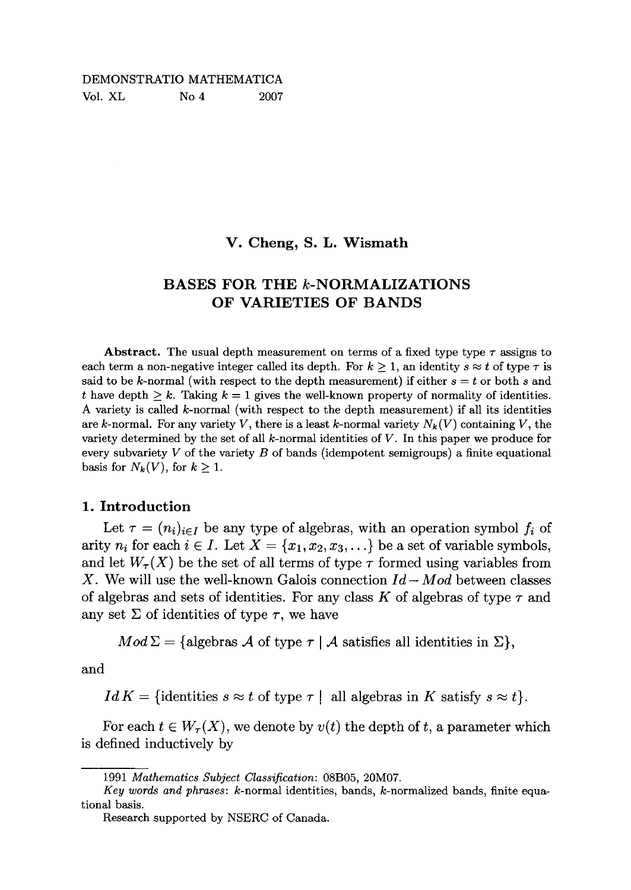#### DEMONSTRATIO MATHEMATICA Vol. XL No 4 2007

### **V. Cheng, S. L. Wismath**

# **BASES FOR THE** *k***-NORMALIZATIONS OF VARIETIES OF BANDS**

**Abstract.** The usual depth measurement on terms of a fixed type type  $\tau$  assigns to each term a non-negative integer called its depth. For  $k \geq 1$ , an identity  $s \approx t$  of type  $\tau$  is said to be k-normal (with respect to the depth measurement) if either  $s = t$  or both s and *t* have depth  $\geq k$ . Taking  $k = 1$  gives the well-known property of normality of identities. A variety is called  $k$ -normal (with respect to the depth measurement) if all its identities are k-normal. For any variety V, there is a least k-normal variety  $N_k(V)$  containing V, the variety determined by the set of all  $k$ -normal identities of  $V$ . In this paper we produce for every subvariety *V* of the variety *B* of bands (idempotent semigroups) a finite equational basis for  $N_k(V)$ , for  $k \geq 1$ .

# **1. Introduction**

Let  $\tau = (n_i)_{i \in I}$  be any type of algebras, with an operation symbol  $f_i$  of arity  $n_i$  for each  $i \in I$ . Let  $X = \{x_1, x_2, x_3, \ldots\}$  be a set of variable symbols, and let  $W_{\tau}(X)$  be the set of all terms of type  $\tau$  formed using variables from X . We will use the well-known Galois connection *Id — Mod* between classes of algebras and sets of identities. For any class  $K$  of algebras of type  $\tau$  and any set  $\Sigma$  of identities of type  $\tau$ , we have

 $Mod \Sigma = \{ algebras \, \mathcal{A} \text{ of type } \tau \mid \mathcal{A} \text{ satisfies all identities in } \Sigma \},\$ 

and

*IdK* = {identities  $s \approx t$  of type  $\tau$  | all algebras in *K* satisfy  $s \approx t$  }.

For each  $t \in W_\tau(X)$ , we denote by  $v(t)$  the depth of t, a parameter which is defined inductively by

<sup>1991</sup> *Mathematics Subject Classification:* 08B05, 20M07.

*Key words and phrases:* k-normal identities, bands, k-normalized bands, finite equational basis.

Research supported by NSERC of Canada.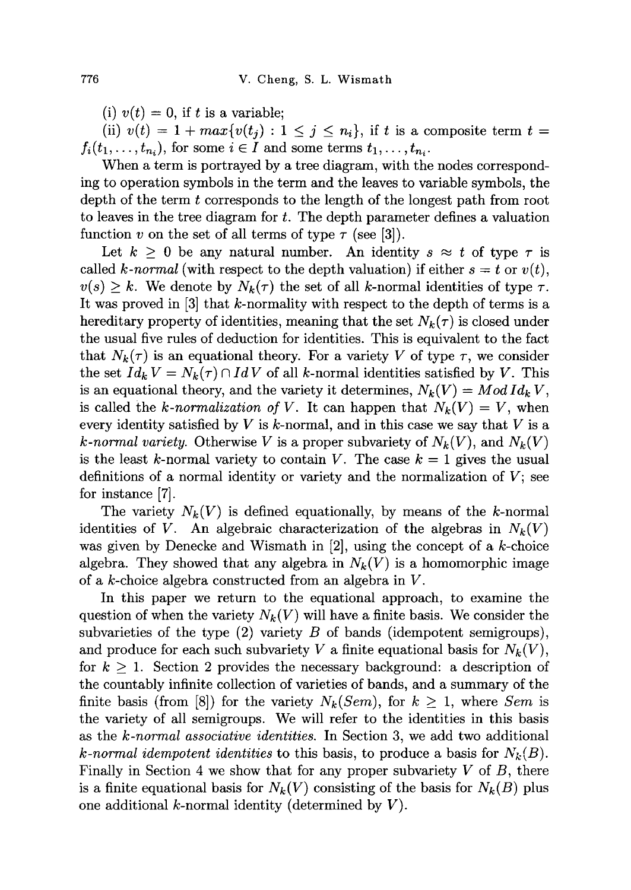(i)  $v(t) = 0$ , if t is a variable;

(ii)  $v(t) = 1 + max\{v(t_i) : 1 \leq j \leq n_i\}$ , if t is a composite term  $t =$  $f_i(t_1,\ldots,t_{n_i})$ , for some  $i \in I$  and some terms  $t_1,\ldots,t_{n_i}$ .

When a term is portrayed by a tree diagram, with the nodes corresponding to operation symbols in the term and the leaves to variable symbols, the depth of the term *t* corresponds to the length of the longest path from root to leaves in the tree diagram for *t.* The depth parameter defines a valuation function v on the set of all terms of type  $\tau$  (see [3]).

Let  $k \geq 0$  be any natural number. An identity  $s \approx t$  of type  $\tau$  is called *k*-normal (with respect to the depth valuation) if either  $s = t$  or  $v(t)$ ,  $v(s) \geq k$ . We denote by  $N_k(\tau)$  the set of all k-normal identities of type  $\tau$ . It was proved in [3] that k-normality with respect to the depth of terms is a hereditary property of identities, meaning that the set  $N_k(\tau)$  is closed under the usual five rules of deduction for identities. This is equivalent to the fact that  $N_k(\tau)$  is an equational theory. For a variety *V* of type  $\tau$ , we consider the set  $Id_k V = N_k(\tau) \cap IdV$  of all k-normal identities satisfied by V. This is an equational theory, and the variety it determines,  $N_k(V) = Mod Id_k V$ , is called the *k*-normalization of V. It can happen that  $N_k(V) = V$ , when every identity satisfied by  $V$  is  $k$ -normal, and in this case we say that  $V$  is a *k*-normal variety. Otherwise V is a proper subvariety of  $N_k(V)$ , and  $N_k(V)$ is the least k-normal variety to contain V. The case  $k = 1$  gives the usual definitions of a normal identity or variety and the normalization of *V;* see for instance [7].

The variety  $N_k(V)$  is defined equationally, by means of the k-normal identities of *V*. An algebraic characterization of the algebras in  $N_k(V)$ was given by Denecke and Wismath in  $[2]$ , using the concept of a k-choice algebra. They showed that any algebra in  $N_k(V)$  is a homomorphic image of a  $k$ -choice algebra constructed from an algebra in  $V$ .

In this paper we return to the equational approach, to examine the question of when the variety  $N_k(V)$  will have a finite basis. We consider the subvarieties of the type (2) variety *B* of bands (idempotent semigroups), and produce for each such subvariety V a finite equational basis for  $N_k(V)$ , for  $k \geq 1$ . Section 2 provides the necessary background: a description of the countably infinite collection of varieties of bands, and a summary of the finite basis (from [8]) for the variety  $N_k(Sem)$ , for  $k \geq 1$ , where *Sem* is the variety of all semigroups. We will refer to the identities in this basis as the *k-normal associative identities.* In Section 3, we add two additional *k*-normal idempotent identities to this basis, to produce a basis for  $N_k(B)$ . Finally in Section 4 we show that for any proper subvariety *V* of *B,* there is a finite equational basis for  $N_k(V)$  consisting of the basis for  $N_k(B)$  plus one additional *k*-normal identity (determined by  $V$ ).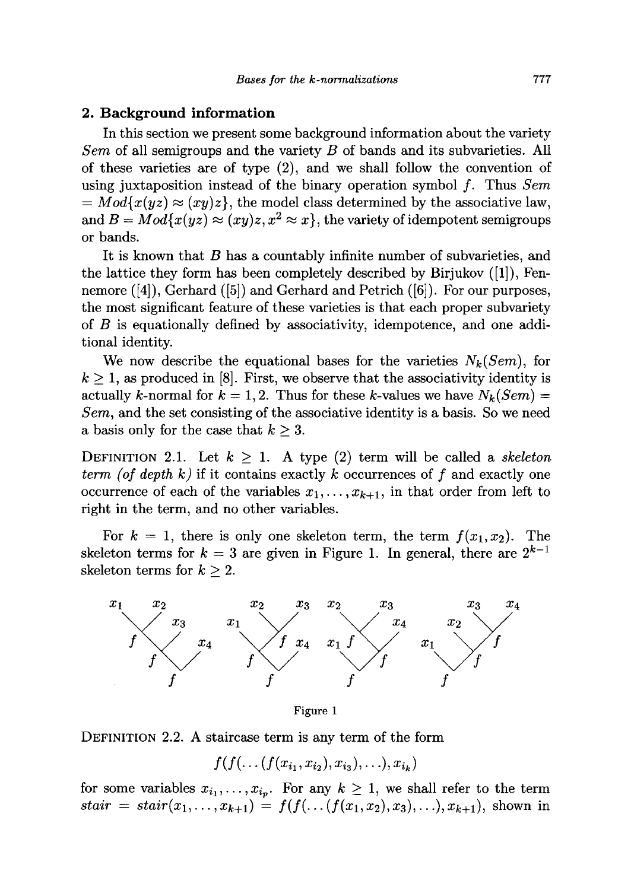# **2. Background information**

In this section we present some background information about the variety *Sem* of all semigroups and the variety *B* of bands and its subvarieties. All of these varieties are of type (2), and we shall follow the convention of using juxtaposition instead of the binary operation symbol /. Thus *Sem*   $= Mod\{x(yz) \approx (xy)z\},\$  the model class determined by the associative law, and  $B = Mod\{x(yz) \approx (xy)z, x^2 \approx x\}$ , the variety of idempotent semigroups or bands.

It is known that *B* has a countably infinite number of subvarieties, and the lattice they form has been completely described by Birjukov ([1]), Fennemore ([4]), Gerhard ([5]) and Gerhard and Petrich ([6]). For our purposes, the most significant feature of these varieties is that each proper subvariety of *B* is equationally defined by associativity, idempotence, and one additional identity.

We now describe the equational bases for the varieties  $N_k(Sem)$ , for  $k \geq 1$ , as produced in [8]. First, we observe that the associativity identity is actually k-normal for  $k = 1, 2$ . Thus for these k-values we have  $N_k(Sem)$  = *Sem,* and the set consisting of the associative identity is a basis. So we need a basis only for the case that *k >3.* 

DEFINITION 2.1. Let  $k \geq 1$ . A type (2) term will be called a *skeleton term (of depth k)* if it contains exactly *k* occurrences of  $f$  and exactly one occurrence of each of the variables  $x_1, \ldots, x_{k+1}$ , in that order from left to right in the term, and no other variables.

For  $k = 1$ , there is only one skeleton term, the term  $f(x_1, x_2)$ . The skeleton terms for  $k = 3$  are given in Figure 1. In general, there are  $2^{k-1}$ skeleton terms for  $k \geq 2$ .



Figure 1

DEFINITION 2.2. A staircase term is any term of the form

 $f(f(\ldots(f(x_{i_1}, x_{i_2}), x_{i_3}), \ldots), x_{i_k})$ 

for some variables  $x_{i_1}, \ldots, x_{i_p}$ . For any  $k \geq 1$ , we shall refer to the term  $stair = stair(x_1,...,x_{k+1}) = f(f(...(f(x_1,x_2),x_3),...),x_{k+1}),$  shown in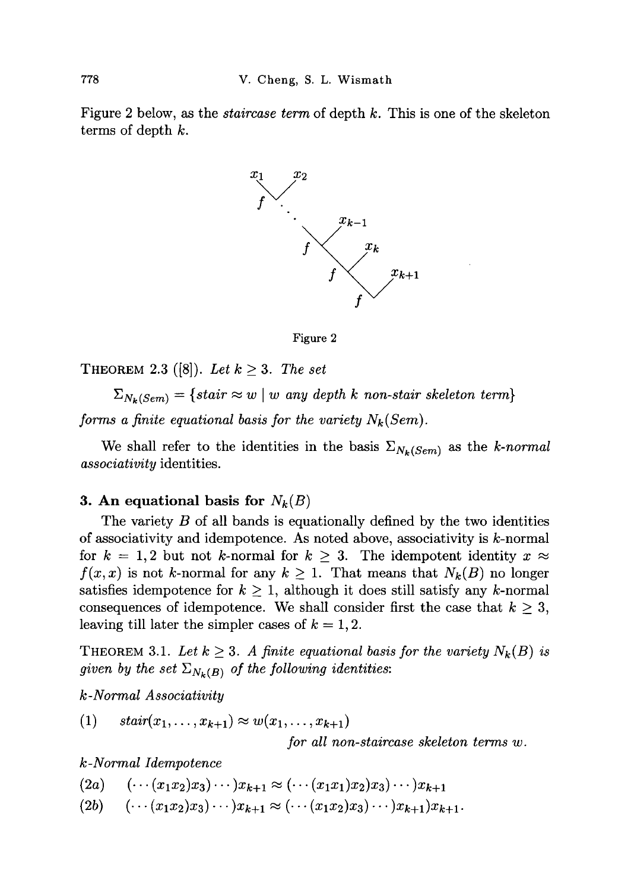Figure 2 below, as the *staircase term* of depth *k.* This is one of the skeleton terms of depth *k.* 



Figure 2

**THEOREM** 2.3 ([8]). Let  $k \geq 3$ . The set

 $\Delta_{N_{\boldsymbol{k}}(Sem)}$  = {stair  $\approx$  w | w any depth  $\kappa$  non-stair skeleton term}

*forms a finite equational basis for the variety Nk(Sem).* 

We shall refer to the identities in the basis  $\Sigma_{N_k(Sem)}$  as the k-normal *associativity* identities.

### **3.** An equational basis for  $N_k(B)$

The variety *B* of all bands is equationally defined by the two identities of associativity and idempotence. As noted above, associativity is  $k$ -normal for  $k = 1,2$  but not k-normal for  $k \geq 3$ . The idempotent identity  $x \approx$  $f(x, x)$  is not k-normal for any  $k \geq 1$ . That means that  $N_k(B)$  no longer satisfies idempotence for  $k \geq 1$ , although it does still satisfy any k-normal consequences of idempotence. We shall consider first the case that  $k \geq 3$ , leaving till later the simpler cases of  $k = 1, 2$ .

**THEOREM** 3.1. Let  $k \geq 3$ . A finite equational basis for the variety  $N_k(B)$  is *given by the set*  $\Sigma_{N_k(B)}$  *of the following identities:* 

*k-Normal Associativity* 

 $f(1)$   $stair(x_1,...,x_{k+1}) \approx w(x_1,...,x_{k+1})$ 

*for all non-staircase skeleton terms w.* 

*k-Normal Idempotence* 

 $(2a) \quad (\cdots (x_1x_2)x_3)\cdots)x_{k+1} \approx (\cdots (x_1x_1)x_2)x_3\cdots)x_{k+1}$ 

 $(2b) \quad (\cdots (x_1x_2)x_3)\cdots)x_{k+1} \approx (\cdots (x_1x_2)x_3)\cdots)x_{k+1}x_{k+1}.$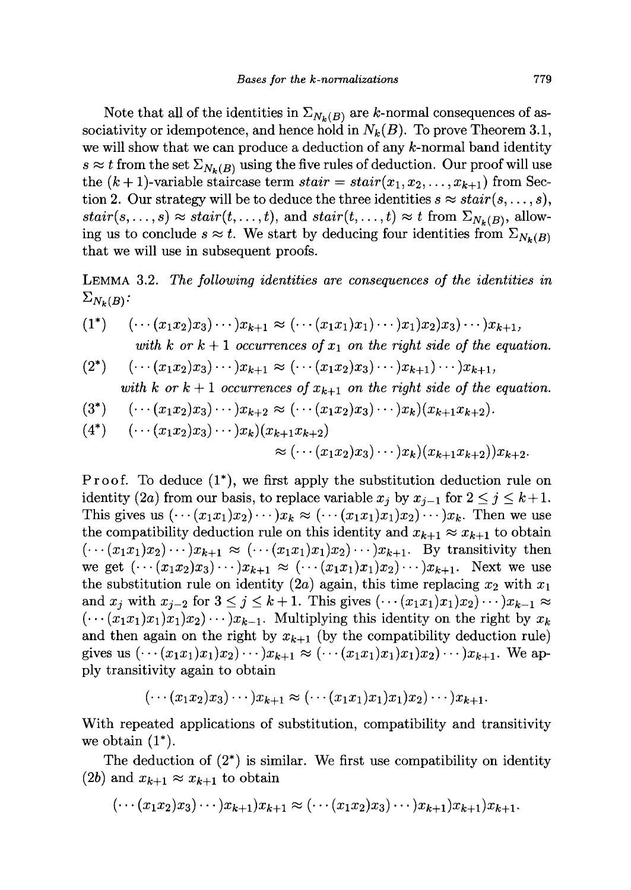Note that all of the identities in  $\Sigma_{N_k(B)}$  are k-normal consequences of associativity or idempotence, and hence hold in  $N_k(B)$ . To prove Theorem 3.1, we will show that we can produce a deduction of any  $k$ -normal band identity  $s \approx t$  from the set  $\Sigma_{N_k(B)}$  using the five rules of deduction. Our proof will use the  $(k+1)$ -variable staircase term  $stair = stair(x_1, x_2, \ldots, x_{k+1})$  from Section 2. Our strategy will be to deduce the three identities  $s \approx \text{stair}(s, \ldots, s)$ ,  $\text{stair}(s, \ldots, s) \approx \text{stair}(t, \ldots, t)$ , and  $\text{stair}(t, \ldots, t) \approx t$  from  $\Sigma_{N_k(B)}$ , allowing us to conclude  $s \approx t$ . We start by deducing four identities from  $\Sigma_{N_k(B)}$ that we will use in subsequent proofs.

**LEMMA 3.2.** *The following identities are consequences of the identities in*   $\Sigma_{N_k(B)}$ :

(1\*) 
$$
(\cdots (x_1x_2)x_3)\cdots)x_{k+1} \approx (\cdots (x_1x_1)x_1)\cdots)x_1x_2x_3\cdots)x_{k+1},
$$
  
with k or k + 1 occurrences of x<sub>1</sub> on the right side of the equation.

$$
(2^*) \quad (\cdots (x_1x_2)x_3)\cdots)x_{k+1} \approx (\cdots (x_1x_2)x_3)\cdots)x_{k+1}\cdots)x_{k+1},
$$

with k or 
$$
k+1
$$
 occurrences of  $x_{k+1}$  on the right side of the equation.

$$
(3^*) \quad (\cdots (x_1x_2)x_3)\cdots)x_{k+2} \approx (\cdots (x_1x_2)x_3)\cdots)x_k)(x_{k+1}x_{k+2}).
$$

$$
(4^*) \quad (\cdots (x_1x_2)x_3)\cdots)x_k)(x_{k+1}x_{k+2})
$$

$$
\approx (\cdots (x_1x_2)x_3)\cdots)x_k)(x_{k+1}x_{k+2})x_{k+2}.
$$

Proof. To deduce  $(1^*)$ , we first apply the substitution deduction rule on identity (2a) from our basis, to replace variable  $x_j$  by  $x_{j-1}$  for  $2 \le j \le k+1$ . This gives us  $(\cdots(x_1x_1)x_2)\cdots)x_k \approx (\cdots(x_1x_1)x_1)x_2\cdots)x_k$ . Then we use the compatibility deduction rule on this identity and  $x_{k+1} \approx x_{k+1}$  to obtain  $(\cdots(x_1x_1)x_2)\cdots)x_{k+1} \approx (\cdots(x_1x_1)x_1)x_2\cdots)x_{k+1}$ . By transitivity then we get  $(\cdots(x_1x_2)x_3)\cdots)x_{k+1} \approx (\cdots(x_1x_1)x_1)x_2\cdots)x_{k+1}$ . Next we use the substitution rule on identity (2a) again, this time replacing  $x_2$  with  $x_1$ and  $x_j$  with  $x_{j-2}$  for  $3 \leq j \leq k+1$ . This gives  $(\cdots (x_1x_1)x_1)x_2 \cdots )x_{k-1} \approx$  $(\cdots(x_1x_1)x_1)x_1$ <sub>2</sub>) $\cdots$   $x_{k-1}$ . Multiplying this identity on the right by  $x_k$ and then again on the right by  $x_{k+1}$  (by the compatibility deduction rule) gives us  $(\cdots(x_1x_1)x_1)x_2 \cdots x_{k+1} \approx (\cdots(x_1x_1)x_1)x_1x_2 \cdots x_{k+1}$ . We apply transitivity again to obtain

$$
(\cdots(x_1x_2)x_3)\cdots)x_{k+1}\approx(\cdots(x_1x_1)x_1)x_1)x_2)\cdots)x_{k+1}.
$$

With repeated applications of substitution, compatibility and transitivity we obtain  $(1^*)$ .

The deduction of  $(2^*)$  is similar. We first use compatibility on identity  $(2b)$  and  $x_{k+1} \approx x_{k+1}$  to obtain

$$
(\cdots (x_1x_2)x_3)\cdots)x_{k+1}x_{k+1}\approx (\cdots (x_1x_2)x_3)\cdots)x_{k+1}x_{k+1}x_{k+1}.
$$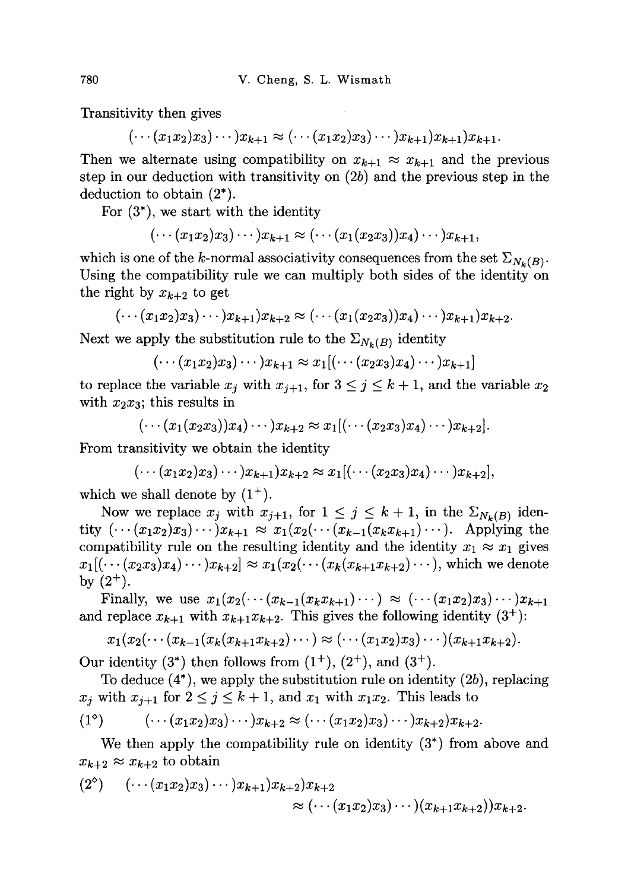Transitivity then gives

 $(\cdots (x_1x_2)x_3) \cdots )x_{k+1} \approx (\cdots (x_1x_2)x_3) \cdots )x_{k+1}x_{k+1}$ 

Then we alternate using compatibility on  $x_{k+1} \approx x_{k+1}$  and the previous step in our deduction with transitivity on  $(2b)$  and the previous step in the deduction to obtain (2\*).

For  $(3^*)$ , we start with the identity

 $(\cdots (x_1x_2)x_3)\cdots)x_{k+1}\approx (\cdots (x_1(x_2x_3))x_4)\cdots)x_{k+1}$ 

which is one of the k-normal associativity consequences from the set  $\Sigma_{N_{k}(B)}$ . Using the compatibility rule we can multiply both sides of the identity on the right by  $x_{k+2}$  to get

$$
(\cdots(x_1x_2)x_3)\cdots)x_{k+1}x_{k+2}\approx (\cdots(x_1(x_2x_3))x_4)\cdots)x_{k+1}x_{k+2}.
$$

Next we apply the substitution rule to the  $\Sigma_{N_k(B)}$  identity

$$
(\cdots(x_1x_2)x_3)\cdots)x_{k+1}\approx x_1[(\cdots(x_2x_3)x_4)\cdots)x_{k+1}]
$$

to replace the variable  $x_j$  with  $x_{j+1}$ , for  $3 \leq j \leq k+1$ , and the variable  $x_2$ with  $x_2x_3$ ; this results in

$$
(\cdots(x_1(x_2x_3))x_4)\cdots)x_{k+2}\approx x_1[(\cdots(x_2x_3)x_4)\cdots)x_{k+2}].
$$

From transitivity we obtain the identity

$$
(\cdots(x_1x_2)x_3)\cdots)x_{k+1}x_{k+2}\approx x_1[(\cdots(x_2x_3)x_4)\cdots)x_{k+2}],
$$

which we shall denote by  $(1^+)$ .

Now we replace  $x_j$  with  $x_{j+1}$ , for  $1 \leq j \leq k+1$ , in the  $\Sigma_{N_k(B)}$  iden- $\text{tity } (\cdots (x_1x_2)x_3)\cdots )x_{k+1} \approx x_1(x_2(\cdots (x_{k-1}(x_kx_{k+1})\cdots)).$  Applying the compatibility rule on the resulting identity and the identity  $x_1 \approx x_1$  gives  $x_1[(\cdots(x_2x_3)x_4)\cdots)x_{k+2}]\approx x_1(x_2(\cdots(x_k(x_{k+1}x_{k+2})\cdots))$ , which we denote by  $(2^+)$ .

Finally, we use  $x_1(x_2(\cdots(x_{k-1}(x_kx_{k+1})\cdots)) \approx (\cdots(x_1x_2)x_3)\cdots)x_{k+1}$ and replace  $x_{k+1}$  with  $x_{k+1}x_{k+2}$ . This gives the following identity  $(3^+)$ :

$$
x_1(x_2(\cdots(x_{k-1}(x_k(x_{k+1}x_{k+2})\cdots)\approx(\cdots(x_1x_2)x_3)\cdots)(x_{k+1}x_{k+2}).
$$

Our identity  $(3^*)$  then follows from  $(1^+), (2^+),$  and  $(3^+).$ 

To deduce  $(4^*)$ , we apply the substitution rule on identity  $(2b)$ , replacing  $x_j$  with  $x_{j+1}$  for  $2 \leq j \leq k+1$ , and  $x_1$  with  $x_1x_2$ . This leads to

$$
(1^{\circ}) \qquad (\cdots (x_1x_2)x_3)\cdots)x_{k+2} \approx (\cdots (x_1x_2)x_3)\cdots)x_{k+2}x_{k+2}.
$$

We then apply the compatibility rule on identity  $(3^*)$  from above and  $x_{k+2} \approx x_{k+2}$  to obtain

$$
(2^{\circ}) \quad (\cdots (x_1x_2)x_3)\cdots)x_{k+1}x_{k+2}x_{k+2} \approx (\cdots (x_1x_2)x_3)\cdots)(x_{k+1}x_{k+2})x_{k+2}.
$$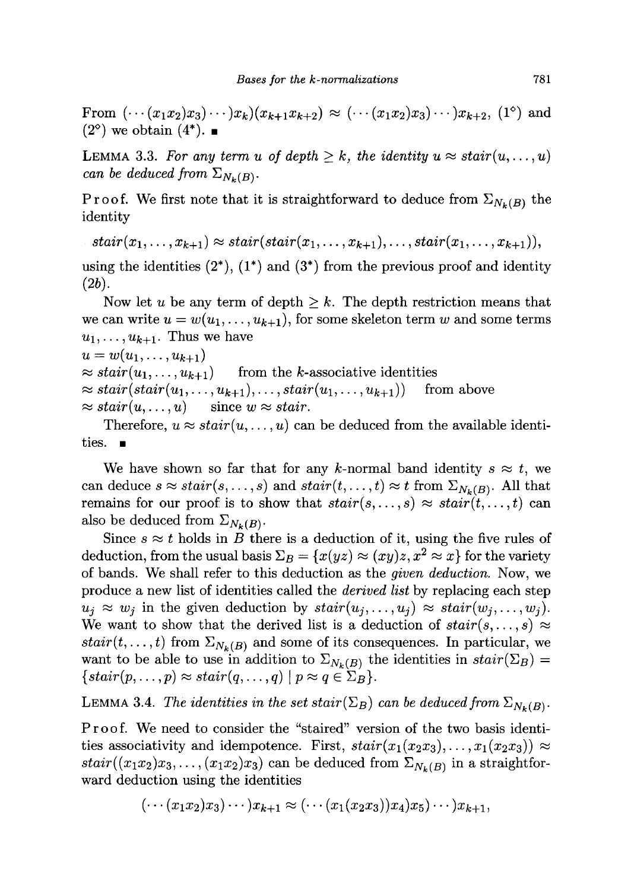From  $(\cdots(x_1x_2)x_3)\cdots)x_k(x_{k+1}x_{k+2}) \approx (\cdots(x_1x_2)x_3)\cdots)x_{k+2}$ , (1<sup>o</sup>) and  $(2^{\circ})$  we obtain  $(4^*)$ .

**LEMMA** 3.3. For any term u of depth  $\geq k$ , the identity  $u \approx \text{stair}(u, \ldots, u)$ *can be deduced from*  $\Sigma_{N_k(B)}$ .

Proof. We first note that it is straightforward to deduce from  $\Sigma_{N_k(B)}$  the identity

$$
stair(x_1,...,x_{k+1}) \approx stair(stair(x_1,...,x_{k+1}),...,stair(x_1,...,x_{k+1})),
$$

using the identities  $(2^*)$ ,  $(1^*)$  and  $(3^*)$  from the previous proof and identity  $(2b).$ 

Now let *u* be any term of depth  $\geq k$ . The depth restriction means that we can write  $u = w(u_1, \ldots, u_{k+1})$ , for some skeleton term w and some terms  $u_1, \ldots, u_{k+1}$ . Thus we have

```
u = w(u_1, \ldots, u_{k+1})
```
 $\approx$  *stair* $(u_1, \ldots, u_{k+1})$  from the *k*-associative identities

 $\approx$  *stair*(*stair*(*u*<sub>1</sub>*,...,u*<sub>*k*+1</sub>),*...,stair*(*u*<sub>1</sub>*,...,u*<sub>*k*+1</sub>)) from above  $\approx$  *stair*(*u*, ..., *u*) since  $w \approx$  *stair.* 

Therefore,  $u \approx \text{stair}(u, \ldots, u)$  can be deduced from the available identities.  $\blacksquare$ 

We have shown so far that for any k-normal band identity  $s \approx t$ , we can deduce  $s \approx \text{stair}(s, \ldots, s)$  and  $\text{stair}(t, \ldots, t) \approx t$  from  $\Sigma_{N_k(B)}$ . All that remains for our proof is to show that  $stair(s,...,s) \approx stair(t,...,t)$  can also be deduced from  $\Sigma_{N_k(B)}$ .

Since  $s \approx t$  holds in *B* there is a deduction of it, using the five rules of deduction, from the usual basis  $\Sigma_B = \{x(yz) \approx (xy)z, x^2 \approx x\}$  for the variety of bands. We shall refer to this deduction as the *given deduction.* Now, we produce a new list of identities called the *derived list* by replacing each step  $u_j \approx w_j$  in the given deduction by  $stair(u_j, \ldots, u_j) \approx stair(w_j, \ldots, w_j)$ . We want to show that the derived list is a deduction of  $stair(s,...,s) \approx$  $stair(t, \ldots, t)$  from  $\Sigma_{N_k(B)}$  and some of its consequences. In particular, we want to be able to use in addition to  $\Sigma_{N_k(B)}$  the identities in  $stair(\Sigma_B)$  =  $\{stair(p,\ldots,p) \approx stair(q,\ldots,q) \mid p \approx q \in \Sigma_B\}.$ 

**LEMMA 3.4.** The identities in the set stair( $\Sigma_B$ ) can be deduced from  $\Sigma_{N_k(B)}$ .

Proof. We need to consider the "staired" version of the two basis identities associativity and idempotence. First,  $stair(x_1(x_2x_3),...,x_1(x_2x_3)) \approx$  $stair((x_1x_2)x_3,\ldots,(x_1x_2)x_3)$  can be deduced from  $\Sigma_{N_k(B)}$  in a straightforward deduction using the identities

$$
(\cdots (x_1x_2)x_3)\cdots)x_{k+1}\approx (\cdots (x_1(x_2x_3))x_4)x_5)\cdots)x_{k+1},
$$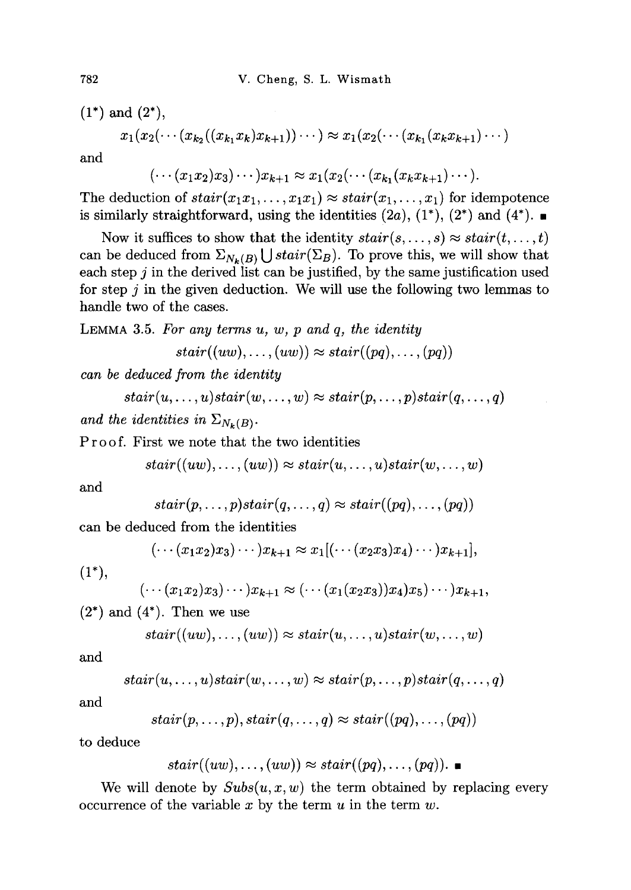$(1^*)$  and  $(2^*),$ 

$$
x_1(x_2(\cdots(x_{k_2}((x_{k_1}x_k)x_{k+1}))\cdots)\approx x_1(x_2(\cdots(x_{k_1}(x_kx_{k+1})\cdots)
$$

and

$$
(\cdots(x_1x_2)x_3)\cdots)x_{k+1}\approx x_1(x_2(\cdots(x_{k_1}(x_kx_{k+1})\cdots).
$$

The deduction of  $stair(x_1x_1,...,x_1x_1) \approx stair(x_1,...,x_1)$  for idempotence is similarly straightforward, using the identities  $(2a)$ ,  $(1^*)$ ,  $(2^*)$  and  $(4^*)$ .

Now it suffices to show that the identity  $stair(s, \ldots, s) \approx stair(t, \ldots, t)$ can be deduced from  $\Sigma_{N_k(B)} \bigcup static(\Sigma_B)$ . To prove this, we will show that each step *j* in the derived list can be justified, by the same justification used for step *j* in the given deduction. We will use the following two lemmas to handle two of the cases.

LEMMA 3.5. *For any terms u, w, p and q, the identity* 

$$
stair((uw), \ldots, (uw)) \approx stair((pq), \ldots, (pq))
$$

*can be deduced from the identity* 

 $\text{stair}(u, \ldots, u) \text{stair}(w, \ldots, w) \approx \text{stair}(p, \ldots, p) \text{stair}(q, \ldots, q)$ 

*and the identities in*  $\Sigma_{N_k(B)}$ .

Proof. First we note that the two identities

$$
stair((uw), \ldots, (uw)) \approx stair(u, \ldots, u)stair(w, \ldots, w)
$$

and

$$
stair(p,\ldots,p)stair(q,\ldots,q) \approx stair((pq),\ldots,(pq))
$$

can be deduced from the identities

$$
(\cdots(x_1x_2)x_3)\cdots)x_{k+1}\approx x_1[(\cdots(x_2x_3)x_4)\cdots)x_{k+1}],
$$

 $(1^*),$ 

$$
(\cdots(x_1x_2)x_3)\cdots)x_{k+1}\approx(\cdots(x_1(x_2x_3))x_4)x_5)\cdots)x_{k+1},
$$

 $(2^*)$  and  $(4^*)$ . Then we use

$$
stair((uw), \ldots, (uw)) \approx stair(u, \ldots, u)stair(w, \ldots, w)
$$

and

$$
stair(u, \ldots, u)stair(w, \ldots, w) \approx stair(p, \ldots, p)stair(q, \ldots, q)
$$

and

$$
stair(p,\ldots,p), stair(q,\ldots,q) \approx stair((pq),\ldots,(pq))
$$

to deduce

$$
stair((uw), \ldots, (uw)) \approx stair((pq), \ldots, (pq)).
$$

We will denote by  $Subs(u, x, w)$  the term obtained by replacing every We will denote by Subs(u,w, w) the term obtained by replacing every occurrence of the variable *x* by the term *u* in the term *w.*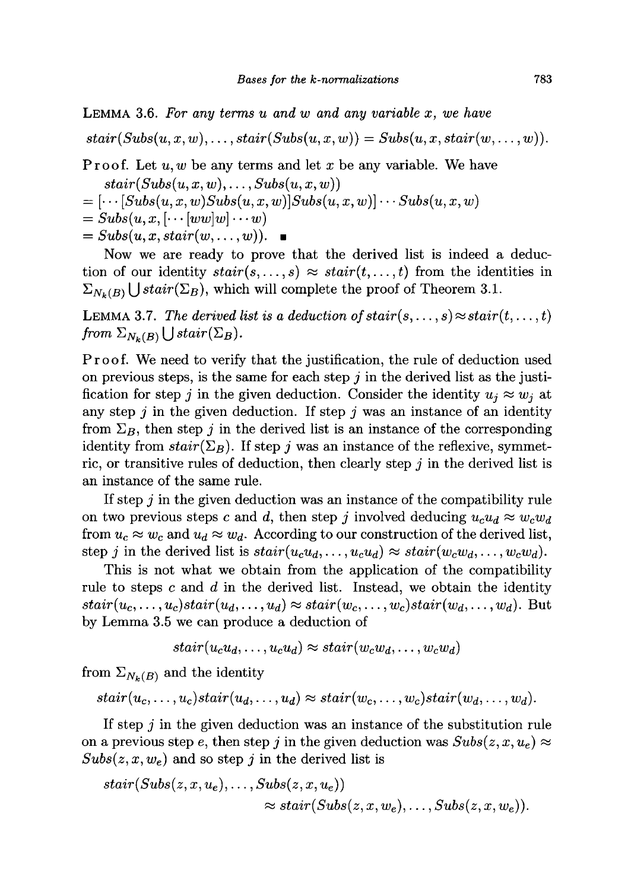**LEMMA 3.6.** *For any terms u and w and any variable x, we have*   $\text{stair}(Subs(u, x, w), \ldots, \text{stair}(Subs(u, x, w)) = \text{Subs}(u, x, \text{stair}(w, \ldots, w)).$ 

Proof. Let *u, w* be any terms and let *x* be any variable. We have

 $\text{stair}(Subs(u, x, w), \ldots, \text{Subs}(u, x, w))$ 

 $=\left[\cdots[Subs(u, x, w)Subs(u, x, w)]Subs(u, x, w)\right] \cdots Subs(u, x, w)$ 

 $= Subs(u, x, [\cdots [ww]w] \cdots w)$ 

 $= Subs(u, x, stair(w, \ldots, w)).$ 

Now we are ready to prove that the derived list is indeed a deduction of our identity  $stair(s,...,s) \approx stair(t,...,t)$  from the identities in  $\Sigma_{N_k(B)}$  U stair( $\Sigma_B$ ), which will complete the proof of Theorem 3.1.

**LEMMA** 3.7. The derived list is a deduction of stair $(s, \ldots, s) \approx \text{stair}(t, \ldots, t)$ *from*  $\Sigma_{N_k(B)} \bigcup static(\Sigma_B)$ .

Proof. We need to verify that the justification, the rule of deduction used on previous steps, is the same for each step *j* in the derived list as the justification for step *j* in the given deduction. Consider the identity  $u_i \approx w_i$  at any step *j* in the given deduction. If step *j* was an instance of an identity from  $\Sigma_B$ , then step j in the derived list is an instance of the corresponding identity from  $stair(\Sigma_B)$ . If step *j* was an instance of the reflexive, symmetric, or transitive rules of deduction, then clearly step *j* in the derived list is an instance of the same rule.

If step *j* in the given deduction was an instance of the compatibility rule on two previous steps c and d, then step j involved deducing  $u_c u_d \approx w_c w_d$ from  $u_c \approx w_c$  and  $u_d \approx w_d$ . According to our construction of the derived list, step *j* in the derived list is  $stair(u_c u_d, \ldots, u_c u_d) \approx stair(w_c w_d, \ldots, w_c w_d)$ .

This is not what we obtain from the application of the compatibility rule to steps c and *d* in the derived list. Instead, we obtain the identity  $\text{stair}(u_c, \ldots, u_c) \text{stair}(u_d, \ldots, u_d) \approx \text{stair}(w_c, \ldots, w_c) \text{stair}(w_d, \ldots, w_d)$ . But by Lemma **3.5** we can produce a deduction of

$$
stair(u_cu_d, \ldots, u_cu_d) \approx stair(w_cw_d, \ldots, w_cw_d)
$$

from  $\Sigma_{N_k(B)}$  and the identity

 $\sim$ 

$$
stair(u_c, \ldots, u_c) stair(u_d, \ldots, u_d) \approx stair(w_c, \ldots, w_c) stair(w_d, \ldots, w_d).
$$

If step *j* in the given deduction was an instance of the substitution rule on a previous step e, then step j in the given deduction was  $Subs(z, x, u_e) \approx$  $Subs(z, x, w_e)$  and so step j in the derived list is

$$
stair(Subs(z, x, u_e), \ldots, Subs(z, x, u_e))
$$
  

$$
\approx stair(Subs(z, x, w_e), \ldots, Subs(z, x, w_e)).
$$

 $\mathbf{L} = \mathbf{L} \times \mathbf{L}$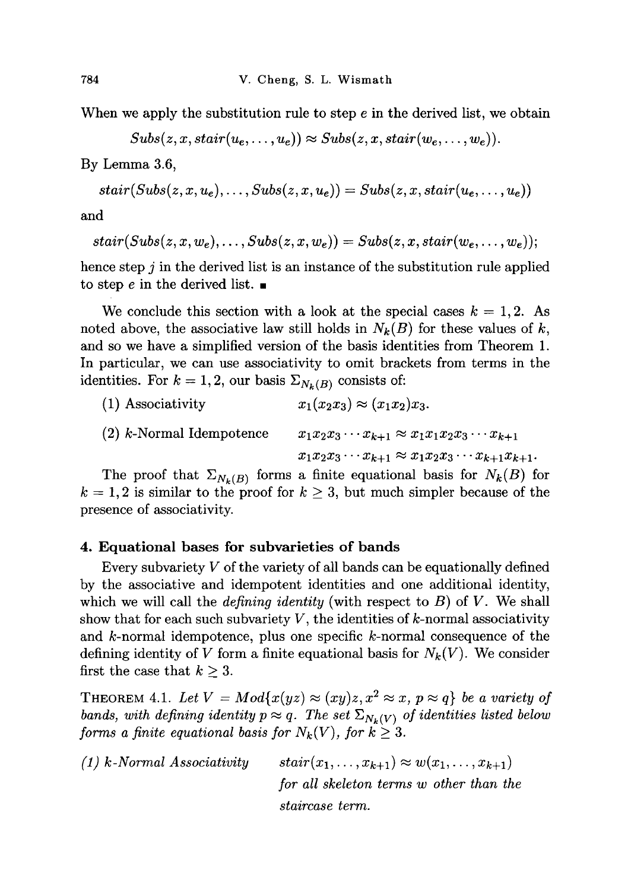When we apply the substitution rule to step  $e$  in the derived list, we obtain

$$
Subs(z, x, stair(u_e, \ldots, u_e)) \approx Subs(z, x, stair(w_e, \ldots, w_e)).
$$

By Lemma 3.6,

$$
stair(Subs(z, x, u_e), \ldots, Subs(z, x, u_e)) = Subs(z, x, stair(u_e, \ldots, u_e))
$$

and

$$
stair(Subs(z, x, w_e), \ldots, Subs(z, x, w_e)) = Subs(z, x, stair(w_e, \ldots, w_e));
$$

hence step *j* in the derived list is an instance of the substitution rule applied to step e in the derived list.  $\blacksquare$ 

We conclude this section with a look at the special cases  $k = 1, 2$ . As noted above, the associative law still holds in  $N_k(B)$  for these values of k, and so we have a simplified version of the basis identities from Theorem 1. In particular, we can use associativity to omit brackets from terms in the identities. For  $k = 1, 2$ , our basis  $\Sigma_{N_k(B)}$  consists of:

| (1) Associativity          | $x_1(x_2x_3) \approx (x_1x_2)x_3.$                                |
|----------------------------|-------------------------------------------------------------------|
| $(2)$ k-Normal Idempotence | $x_1x_2x_3\cdots x_{k+1} \approx x_1x_1x_2x_3\cdots x_{k+1}$      |
|                            | $x_1x_2x_3\cdots x_{k+1} \approx x_1x_2x_3\cdots x_{k+1}x_{k+1}.$ |

The proof that  $\Sigma_{N_k(B)}$  forms a finite equational basis for  $N_k(B)$  for  $k = 1,2$  is similar to the proof for  $k \geq 3$ , but much simpler because of the presence of associativity.

# **4. Equational bases for subvarieties of bands**

Every subvariety *V* of the variety of all bands can be equationally defined by the associative and idempotent identities and one additional identity, which we will call the *defining identity* (with respect to *B*) of *V.* We shall show that for each such subvariety  $V$ , the identities of  $k$ -normal associativity and  $k$ -normal idempotence, plus one specific  $k$ -normal consequence of the defining identity of V form a finite equational basis for  $N_k(V)$ . We consider first the case that  $k \geq 3$ .

THEOREM 4.1. Let  $V = Mod{x(yz) \approx (xy)z, x^2 \approx x, p \approx q}$  be a variety of *bands, with defining identity p*  $\approx q$ *. The set*  $\Sigma_{N_k(V)}$  *of identities listed below forms a finite equational basis for*  $N_k(V)$ , for  $k \geq 3$ .

(1) k-Normal Associativity stair $(x_1, \ldots, x_{k+1}) \approx w(x_1, \ldots, x_{k+1})$ *for all skeleton terms w other than the staircase term.*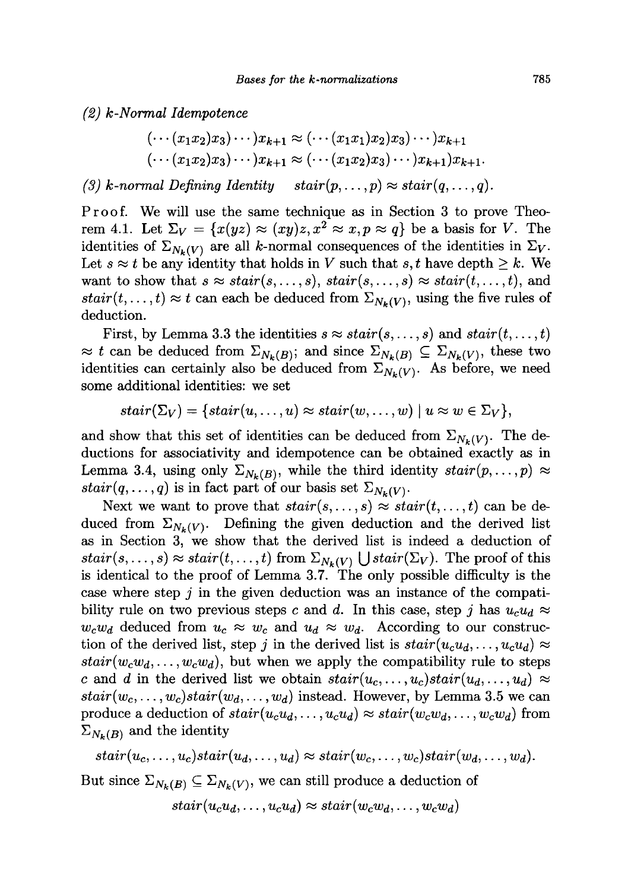*(2) k-Normal Idempotence* 

$$
(\cdots(x_1x_2)x_3)\cdots)x_{k+1}\approx(\cdots(x_1x_1)x_2)x_3)\cdots)x_{k+1}
$$
  

$$
(\cdots(x_1x_2)x_3)\cdots)x_{k+1}\approx(\cdots(x_1x_2)x_3)\cdots)x_{k+1}x_{k+1}.
$$

(3) k-normal Defining Identity  $stair(p,...,p) \approx statr(q,...,q)$ .

**Proof. We will use the same technique as in Section 3 to prove Theo-** ${\rm rem~4.1.}$  Let  $\Sigma_V = \{ x(yz) \approx (xy)z, x^2 \approx x, p \approx q \}$  be a basis for *V*. The identities of  $\Sigma_{N_{\nu}(V)}$  are all k-normal consequences of the identities in  $\Sigma_{V}$ . Let  $s \approx t$  be any identity that holds in *V* such that  $s, t$  have depth  $\geq k$ . We want to show that  $s \approx \text{stair}(s, \ldots, s)$ ,  $\text{stair}(s, \ldots, s) \approx \text{stair}(t, \ldots, t)$ , and  $stair(t, \ldots, t) \approx t$  can each be deduced from  $\Sigma_{N_{\nu}(V)}$ , using the five rules of **deduction.** 

First, by Lemma 3.3 the identities  $s \approx \text{stair}(s, \ldots, s)$  and  $\text{stair}(t, \ldots, t)$  $\approx t$  can be deduced from  $\Sigma_{N_k(B)}$ ; and since  $\Sigma_{N_k(B)} \subseteq \Sigma_{N_k(V)}$ , these two identities can certainly also be deduced from  $\Sigma_{N_k(V)}$ . As before, we need **some additional identities: we set** 

$$
stair(\Sigma_V)=\{stair(u,\dots,u)\approx stair(w,\dots,w)\mid u\approx w\in\Sigma_V\},
$$

and show that this set of identities can be deduced from  $\Sigma_{N_k(V)}$ . The de**ductions for associativity and idempotence can be obtained exactly as in**  Lemma 3.4, using only  $\Sigma_{N_k(B)}$ , while the third identity  $stair(p,...,p) \approx$ *stair* $(q, \ldots, q)$  is in fact part of our basis set  $\Sigma_{N_k(V)}$ .

Next we want to prove that  $stair(s,...,s) \approx stair(t,...,t)$  can be deduced from  $\Sigma_{N_k(V)}$ . Defining the given deduction and the derived list **as in Section 3, we show that the derived list is indeed a deduction of**   $stair(s,...,s) \approx statr(t,...,t)$  from  $\Sigma_{N_{\nu}(V)} \bigcup statr(\Sigma_{V})$ . The proof of this **is identical to the proof of Lemma 3.7. The only possible difficulty is the case where step** *j* **in the given deduction was an instance of the compati**bility rule on two previous steps c and d. In this case, step j has  $u_c u_d \approx$  $w_c w_d$  deduced from  $u_c \approx w_c$  and  $u_d \approx w_d$ . According to our construction of the derived list, step *j* in the derived list is  $stair(u_c u_d, \ldots, u_c u_d) \approx$  $stair(w_cw_d, \ldots, w_cw_d)$ , but when we apply the compatibility rule to steps c and d in the derived list we obtain  $stair(u_c, \ldots, u_c)stat(u_d, \ldots, u_d) \approx$  $stair(w_c, \ldots, w_c) stair(w_d, \ldots, w_d)$  instead. However, by Lemma 3.5 we can produce a deduction of  $stair(u_cu_d, \ldots, u_cu_d) \approx stair(w_cw_d, \ldots, w_cw_d)$  from  $\Sigma_{N_{\nu}(B)}$  and the identity

$$
stair(u_c, \ldots, u_c)stair(u_d, \ldots, u_d) \approx stair(w_c, \ldots, w_c)stair(w_d, \ldots, w_d).
$$

But since  $\Sigma_{N_k(B)} \subseteq \Sigma_{N_k(V)}$ , we can still produce a deduction of

$$
stair(u_cu_d, \ldots, u_cu_d) \approx stair(w_cw_d, \ldots, w_cw_d)
$$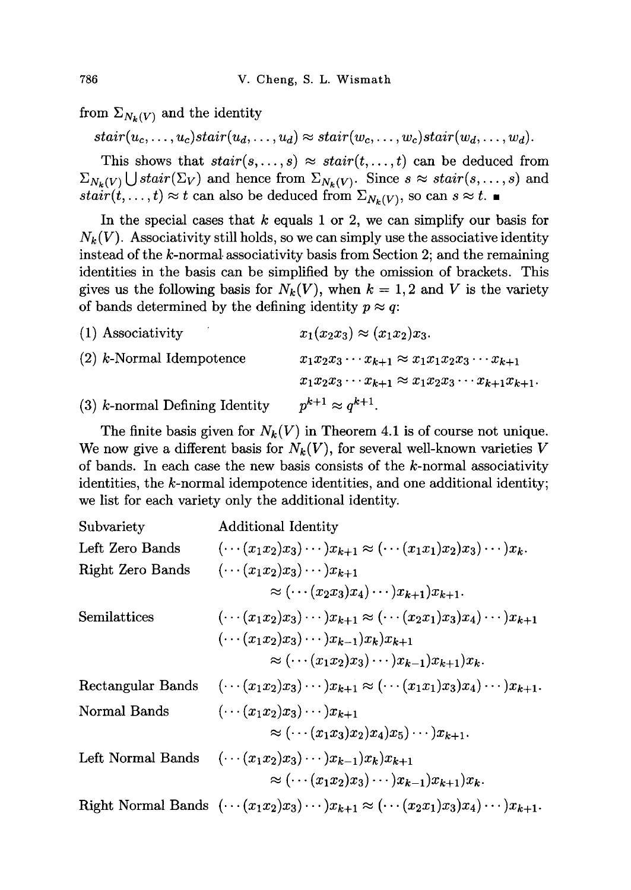from  $\Sigma_{N_k(V)}$  and the identity

 $\text{stair}(u_c, \ldots, u_c) \text{stair}(u_d, \ldots, u_d) \approx \text{stair}(w_c, \ldots, w_c) \text{stair}(w_d, \ldots, w_d).$ 

This shows that  $stair(s, ..., s) \approx stair(t, ..., t)$  can be deduced from  $\Sigma_{N_k(V)} \bigcup static(\Sigma_V)$  and hence from  $\Sigma_{N_k(V)}$ . Since  $s \approx static(s, \ldots, s)$  and *stair* $(t, \ldots, t) \approx t$  can also be deduced from  $\Sigma_{N_k(V)}$ , so can  $s \approx t$ .

In the special cases that *k* equals 1 or 2, we can simplify our basis for  $N_k(V)$ . Associativity still holds, so we can simply use the associative identity instead of the  $k$ -normal associativity basis from Section 2; and the remaining identities in the basis can be simplified by the omission of brackets. This gives us the following basis for  $N_k(V)$ , when  $k = 1,2$  and V is the variety of bands determined by the defining identity  $p \approx q$ :

| $(1)$ Associativity              | $x_1(x_2x_3) \approx (x_1x_2)x_3.$                                |
|----------------------------------|-------------------------------------------------------------------|
| $(2)$ k-Normal Idempotence       | $x_1x_2x_3\cdots x_{k+1} \approx x_1x_1x_2x_3\cdots x_{k+1}$      |
|                                  | $x_1x_2x_3\cdots x_{k+1} \approx x_1x_2x_3\cdots x_{k+1}x_{k+1}.$ |
| $(3)$ k-normal Defining Identity | $p^{k+1} \approx q^{k+1}$                                         |

The finite basis given for  $N_k(V)$  in Theorem 4.1 is of course not unique. We now give a different basis for  $N_k(V)$ , for several well-known varieties V of bands. In each case the new basis consists of the  $k$ -normal associativity identities, the  $k$ -normal idempotence identities, and one additional identity; we list for each variety only the additional identity.

| Subvariety        | <b>Additional Identity</b>                                                                                                                                                                      |
|-------------------|-------------------------------------------------------------------------------------------------------------------------------------------------------------------------------------------------|
| Left Zero Bands   | $(\cdots (x_1x_2)x_3)\cdots)x_{k+1}\approx (\cdots (x_1x_1)x_2)x_3\cdots)x_k.$                                                                                                                  |
| Right Zero Bands  | $(\cdots(x_1x_2)x_3)\cdots)x_{k+1}$<br>$\approx (\cdots (x_2x_3)x_4)\cdots)x_{k+1}x_{k+1}.$                                                                                                     |
| Semilattices      | $(\cdots (x_1x_2)x_3)\cdots)x_{k+1}\approx (\cdots (x_2x_1)x_3)x_4)\cdots)x_{k+1}$<br>$(\cdots (x_1x_2)x_3)\cdots)x_{k-1}x_kx_{k+1}$<br>$\approx (\cdots (x_1x_2)x_3)\cdots)x_{k-1}x_{k+1}x_k.$ |
| Rectangular Bands | $(\cdots (x_1x_2)x_3)\cdots)x_{k+1}\approx (\cdots (x_1x_1)x_3)x_4)\cdots)x_{k+1}.$                                                                                                             |
| Normal Bands      | $(\cdots (x_1x_2)x_3)\cdots)x_{k+1}$<br>$\approx (\cdots (x_1x_3)x_2)x_4)x_5\cdots)x_{k+1}.$                                                                                                    |
| Left Normal Bands | $(\cdots (x_1x_2)x_3)\cdots)x_{k-1}x_k_{k+1}$<br>$\approx (\cdots (x_1x_2)x_3)\cdots)x_{k-1}x_{k+1}x_k.$                                                                                        |
|                   | Right Normal Bands $(\cdots(x_1x_2)x_3)\cdots)x_{k+1} \approx (\cdots(x_2x_1)x_3)x_4\cdots)x_{k+1}.$                                                                                            |